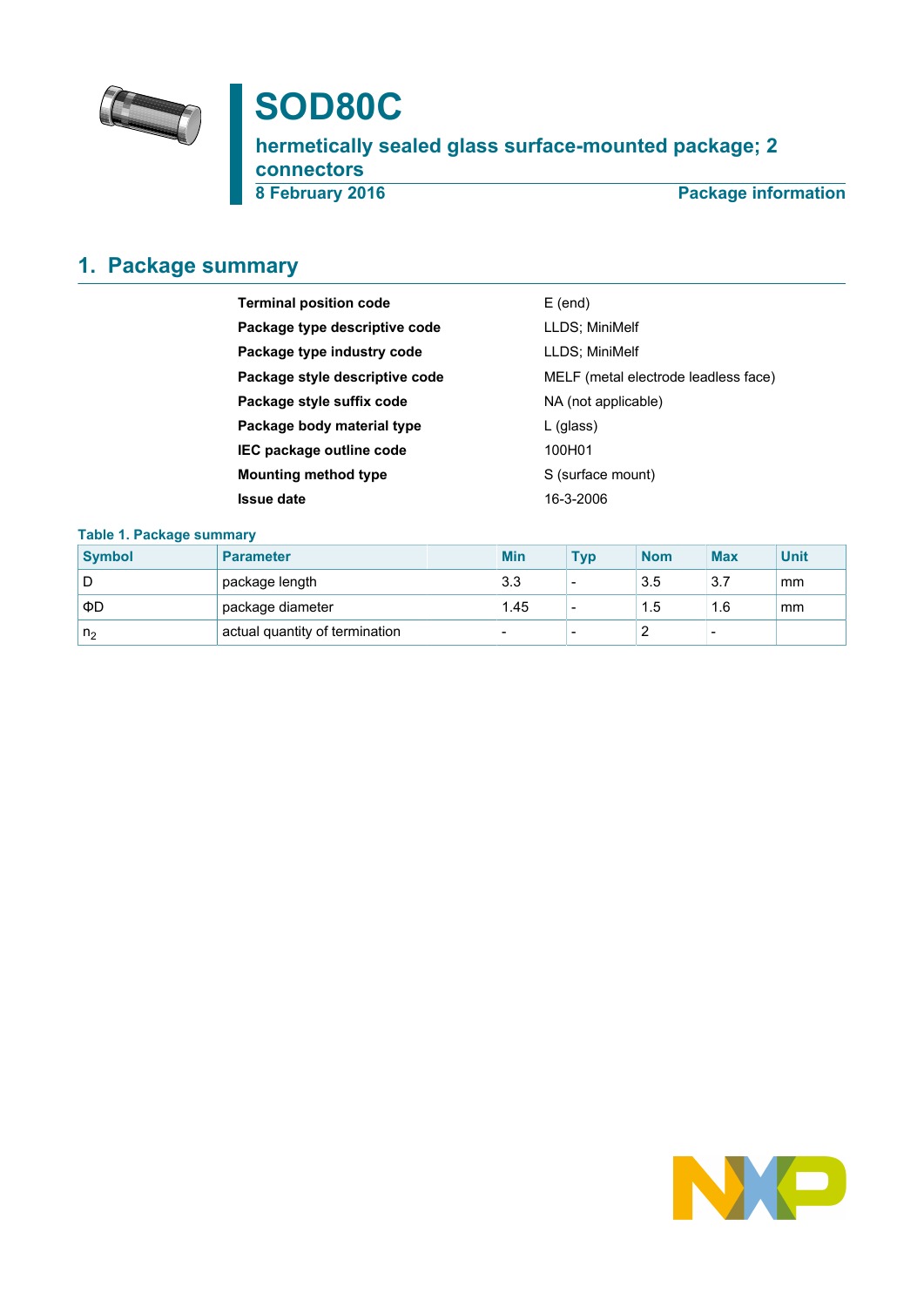

# **SOD80C**

**hermetically sealed glass surface-mounted package; 2 connectors**

**8 February 2016 Package information**

# <span id="page-0-0"></span>**1. Package summary**

| <b>Terminal position code</b>  | $E$ (end)                            |
|--------------------------------|--------------------------------------|
| Package type descriptive code  | LLDS; MiniMelf                       |
| Package type industry code     | LLDS; MiniMelf                       |
| Package style descriptive code | MELF (metal electrode leadless face) |
| Package style suffix code      | NA (not applicable)                  |
| Package body material type     | $L$ (glass)                          |
| IEC package outline code       | 100H01                               |
| Mounting method type           | S (surface mount)                    |
| Issue date                     | 16-3-2006                            |

### **Table 1. Package summary**

| <b>Symbol</b>  | <b>Parameter</b>               | <b>Min</b> | <b>Typ</b>               | <b>Nom</b> | <b>Max</b>               | <b>Unit</b> |
|----------------|--------------------------------|------------|--------------------------|------------|--------------------------|-------------|
| D              | package length                 | 3.3        |                          | 3.5        | 3.7                      | mm          |
| ΦD             | package diameter               | 1.45       | -                        | 1.5        | 1.6                      | mm          |
| n <sub>2</sub> | actual quantity of termination |            | $\overline{\phantom{0}}$ |            | $\overline{\phantom{0}}$ |             |

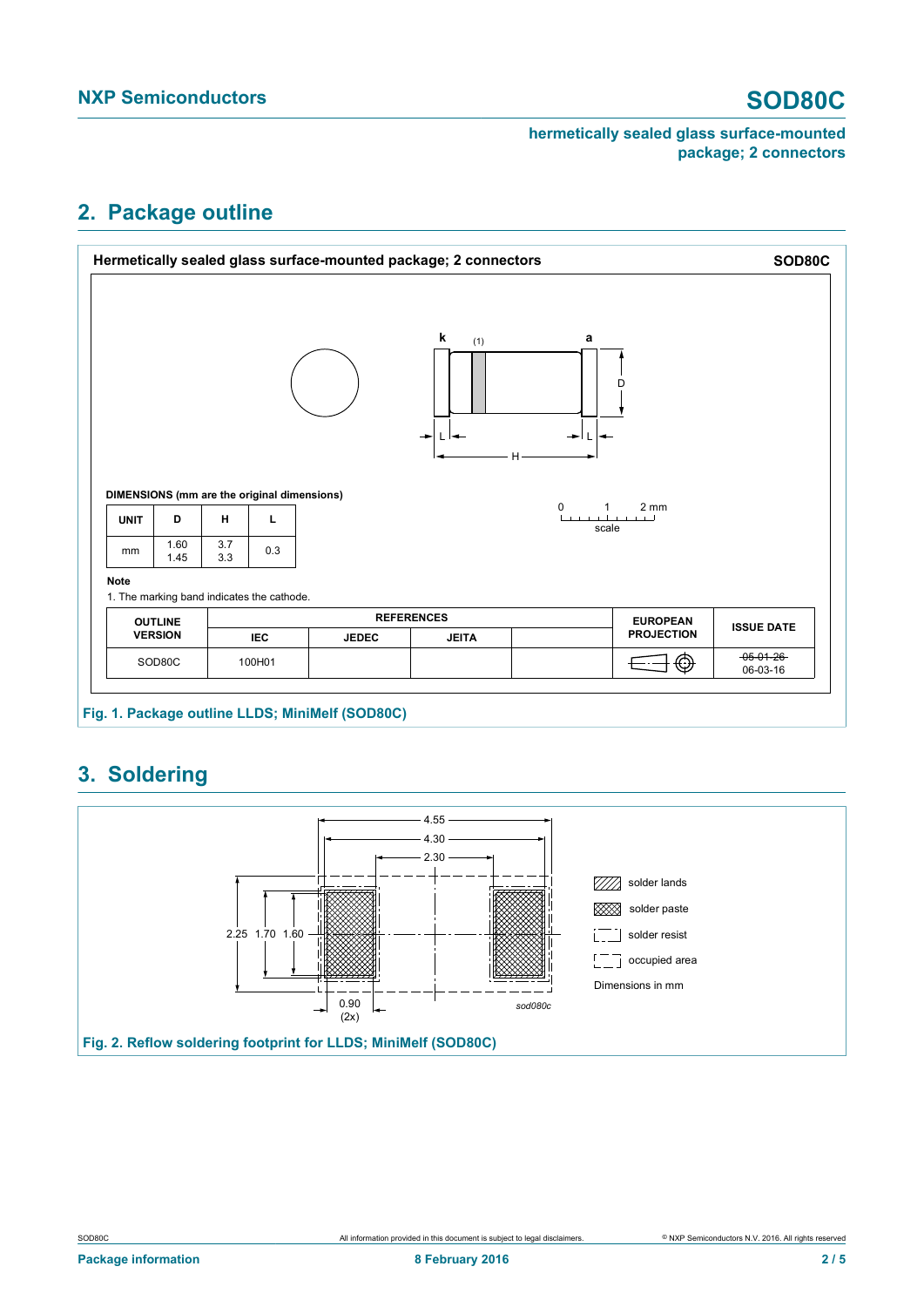# <span id="page-1-0"></span>**2. Package outline**





# <span id="page-1-1"></span>**3. Soldering**

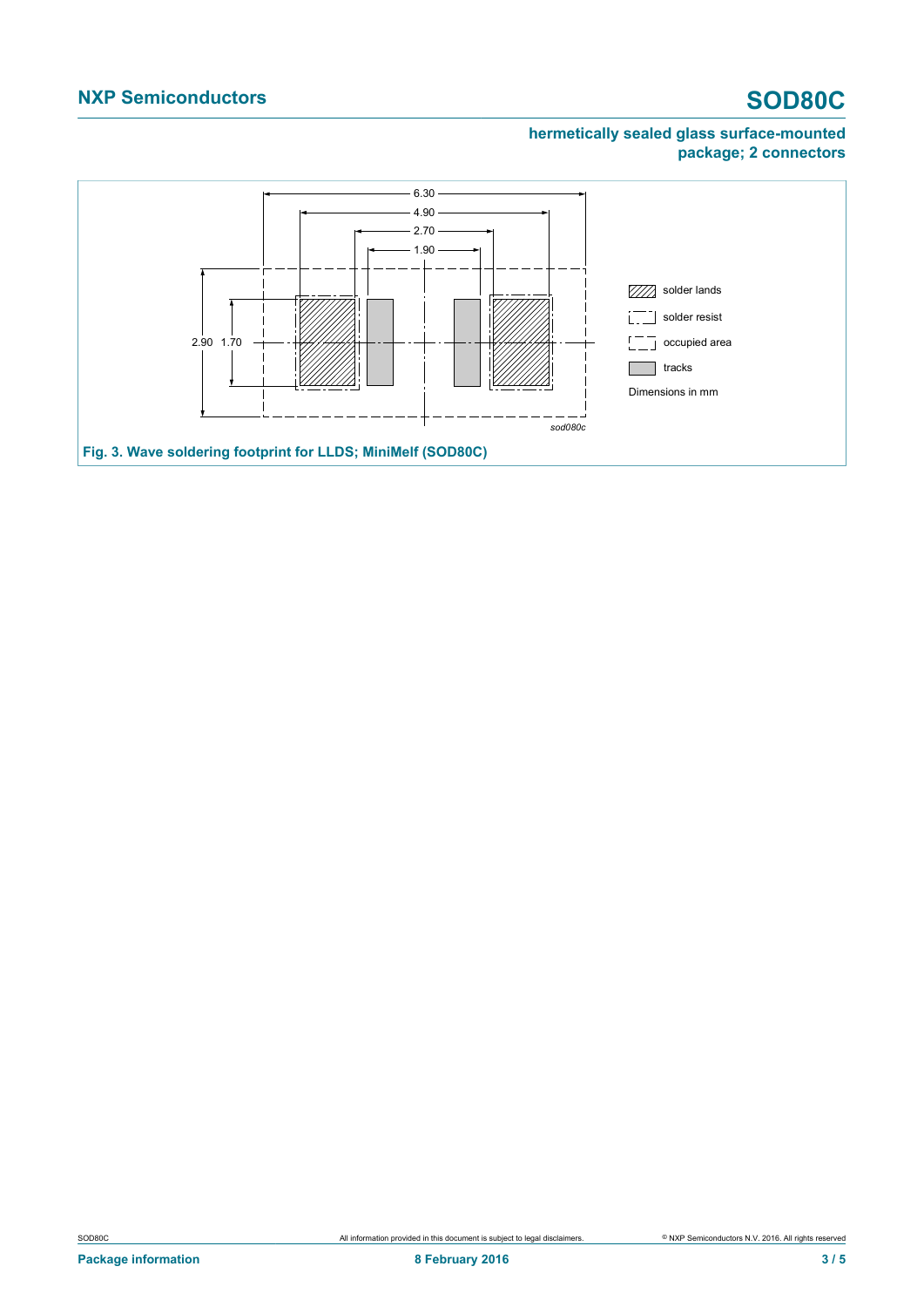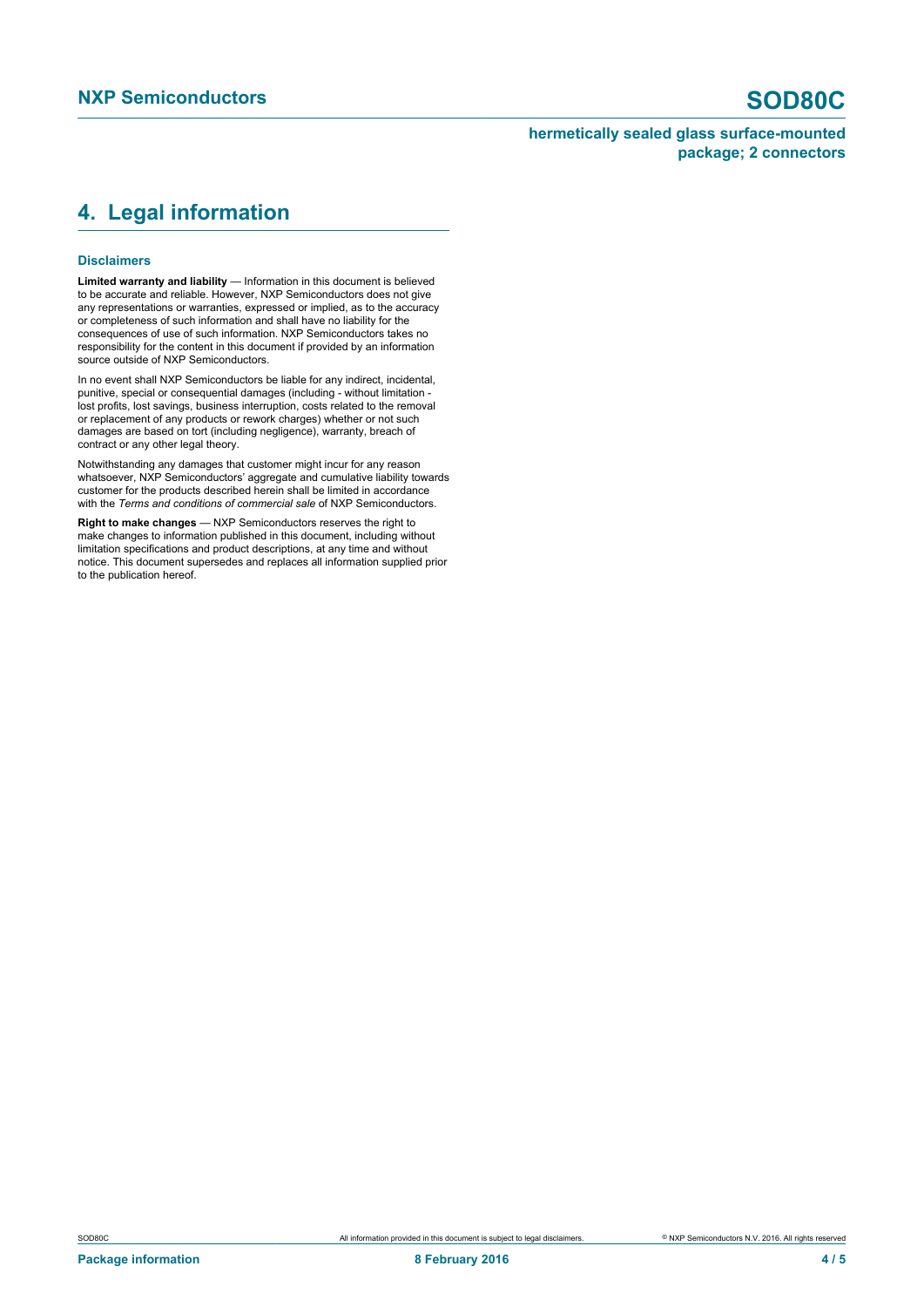## <span id="page-3-0"></span>**4. Legal information**

#### **Disclaimers**

**Limited warranty and liability** — Information in this document is believed to be accurate and reliable. However, NXP Semiconductors does not give any representations or warranties, expressed or implied, as to the accuracy or completeness of such information and shall have no liability for the consequences of use of such information. NXP Semiconductors takes no responsibility for the content in this document if provided by an information source outside of NXP Semiconductors.

In no event shall NXP Semiconductors be liable for any indirect, incidental, punitive, special or consequential damages (including - without limitation lost profits, lost savings, business interruption, costs related to the removal or replacement of any products or rework charges) whether or not such damages are based on tort (including negligence), warranty, breach of contract or any other legal theory.

Notwithstanding any damages that customer might incur for any reason whatsoever, NXP Semiconductors' aggregate and cumulative liability towards customer for the products described herein shall be limited in accordance with the *Terms and conditions of commercial sale* of NXP Semiconductors.

**Right to make changes** — NXP Semiconductors reserves the right to make changes to information published in this document, including without limitation specifications and product descriptions, at any time and without notice. This document supersedes and replaces all information supplied prior to the publication hereof.